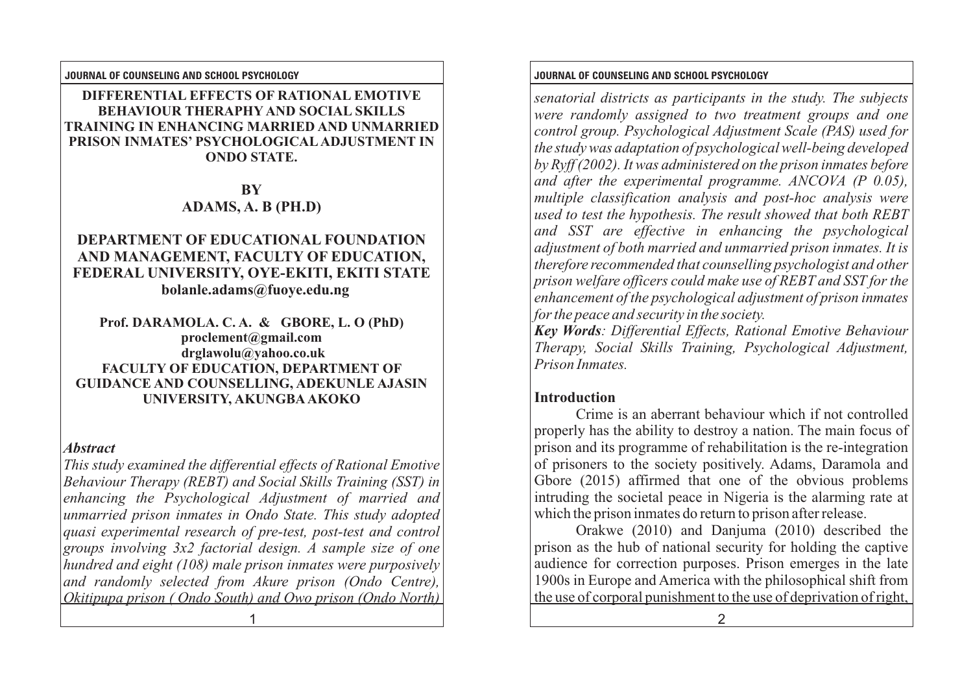### **DIFFERENTIAL EFFECTS OF RATIONAL EMOTIVE BEHAVIOUR THERAPHY AND SOCIAL SKILLS TRAINING IN ENHANCING MARRIED AND UNMARRIED PRISON INMATES' PSYCHOLOGICALADJUSTMENT IN ONDO STATE.**

**BY ADAMS, A. B (PH.D)**

## **DEPARTMENT OF EDUCATIONAL FOUNDATION AND MANAGEMENT, FACULTY OF EDUCATION, FEDERAL UNIVERSITY, OYE-EKITI, EKITI STATE bolanle.adams@fuoye.edu.ng**

**Prof. DARAMOLA. C. A. & GBORE, L. O (PhD) proclement@gmail.com drglawolu@yahoo.co.uk FACULTY OF EDUCATION, DEPARTMENT OF GUIDANCE AND COUNSELLING, ADEKUNLE AJASIN UNIVERSITY, AKUNGBAAKOKO**

## *Abstract*

*This study examined the differential effects of Rational Emotive Behaviour Therapy (REBT) and Social Skills Training (SST) in enhancing the Psychological Adjustment of married and unmarried prison inmates in Ondo State. This study adopted quasi experimental research of pre-test, post-test and control groups involving 3x2 factorial design. A sample size of one hundred and eight (108) male prison inmates were purposively and randomly selected from Akure prison (Ondo Centre), Okitipupa prison ( Ondo South) and Owo prison (Ondo North)* 

**JOURNAL OF COUNSELING AND SCHOOL PSYCHOLOGY JOURNAL OF COUNSELING AND SCHOOL PSYCHOLOGY**

*senatorial districts as participants in the study. The subjects were randomly assigned to two treatment groups and one control group. Psychological Adjustment Scale (PAS) used for the study was adaptation of psychological well-being developed by Ryff (2002). It was administered on the prison inmates before and after the experimental programme. ANCOVA (P 0.05), multiple classification analysis and post-hoc analysis were used to test the hypothesis. The result showed that both REBT and SST are effective in enhancing the psychological adjustment of both married and unmarried prison inmates. It is therefore recommended that counselling psychologist and other prison welfare officers could make use of REBT and SST for the enhancement of the psychological adjustment of prison inmates for the peace and security in the society.*

*Key Words: Differential Effects, Rational Emotive Behaviour Therapy, Social Skills Training, Psychological Adjustment, Prison Inmates.*

# **Introduction**

Crime is an aberrant behaviour which if not controlled properly has the ability to destroy a nation. The main focus of prison and its programme of rehabilitation is the re-integration of prisoners to the society positively. Adams, Daramola and Gbore (2015) affirmed that one of the obvious problems intruding the societal peace in Nigeria is the alarming rate at which the prison inmates do return to prison after release.

Orakwe (2010) and Danjuma (2010) described the prison as the hub of national security for holding the captive audience for correction purposes. Prison emerges in the late 1900s in Europe and America with the philosophical shift from the use of corporal punishment to the use of deprivation of right,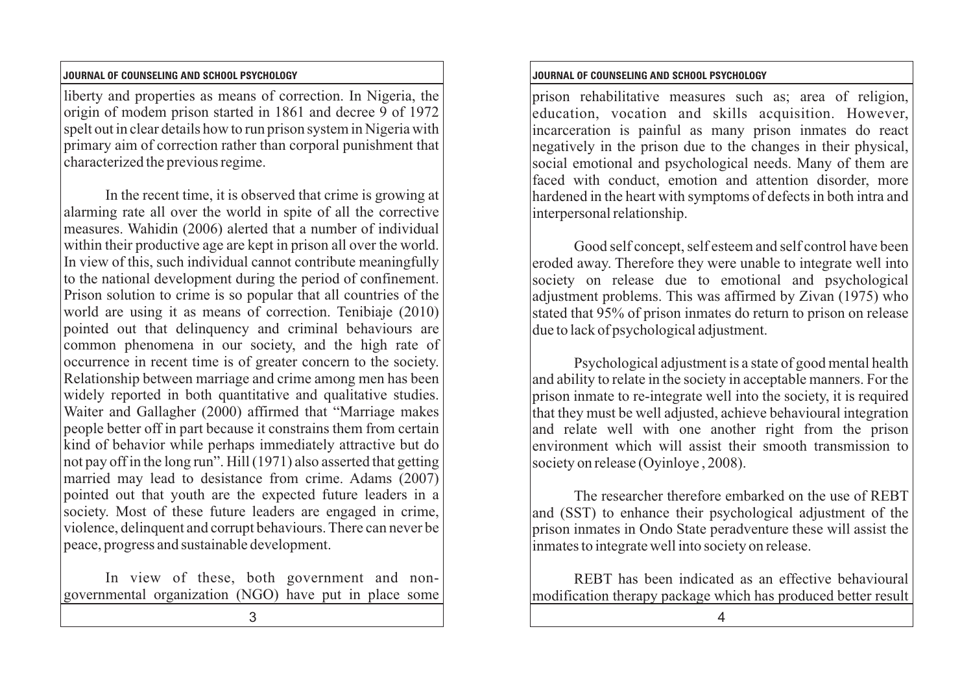### **JOURNAL OF COUNSELING AND SCHOOL PSYCHOLOGY JOURNAL OF COUNSELING AND SCHOOL PSYCHOLOGY**

liberty and properties as means of correction. In Nigeria, the origin of modem prison started in 1861 and decree 9 of 1972 spelt out in clear details how to run prison system in Nigeria with primary aim of correction rather than corporal punishment that characterized the previous regime.

In the recent time, it is observed that crime is growing at alarming rate all over the world in spite of all the corrective measures. Wahidin (2006) alerted that a number of individual within their productive age are kept in prison all over the world. In view of this, such individual cannot contribute meaningfully to the national development during the period of confinement. Prison solution to crime is so popular that all countries of the world are using it as means of correction. Tenibiaje (2010) pointed out that delinquency and criminal behaviours are common phenomena in our society, and the high rate of occurrence in recent time is of greater concern to the society. Relationship between marriage and crime among men has been widely reported in both quantitative and qualitative studies. Waiter and Gallagher (2000) affirmed that "Marriage makes people better off in part because it constrains them from certain kind of behavior while perhaps immediately attractive but do not pay off in the long run". Hill (1971) also asserted that getting married may lead to desistance from crime. Adams (2007) pointed out that youth are the expected future leaders in a society. Most of these future leaders are engaged in crime, violence, delinquent and corrupt behaviours. There can never be peace, progress and sustainable development.

In view of these, both government and nongovernmental organization (NGO) have put in place some

prison rehabilitative measures such as; area of religion, education, vocation and skills acquisition. However, incarceration is painful as many prison inmates do react negatively in the prison due to the changes in their physical, social emotional and psychological needs. Many of them are faced with conduct, emotion and attention disorder, more hardened in the heart with symptoms of defects in both intra and interpersonal relationship.

Good self concept, self esteem and self control have been eroded away. Therefore they were unable to integrate well into society on release due to emotional and psychological adjustment problems. This was affirmed by Zivan (1975) who stated that 95% of prison inmates do return to prison on release due to lack of psychological adjustment.

Psychological adjustment is a state of good mental health and ability to relate in the society in acceptable manners. For the prison inmate to re-integrate well into the society, it is required that they must be well adjusted, achieve behavioural integration and relate well with one another right from the prison environment which will assist their smooth transmission to society on release (Oyinloye, 2008).

The researcher therefore embarked on the use of REBT and (SST) to enhance their psychological adjustment of the prison inmates in Ondo State peradventure these will assist the inmates to integrate well into society on release.

REBT has been indicated as an effective behavioural modification therapy package which has produced better result

 $3 \hspace{2.5cm} 4$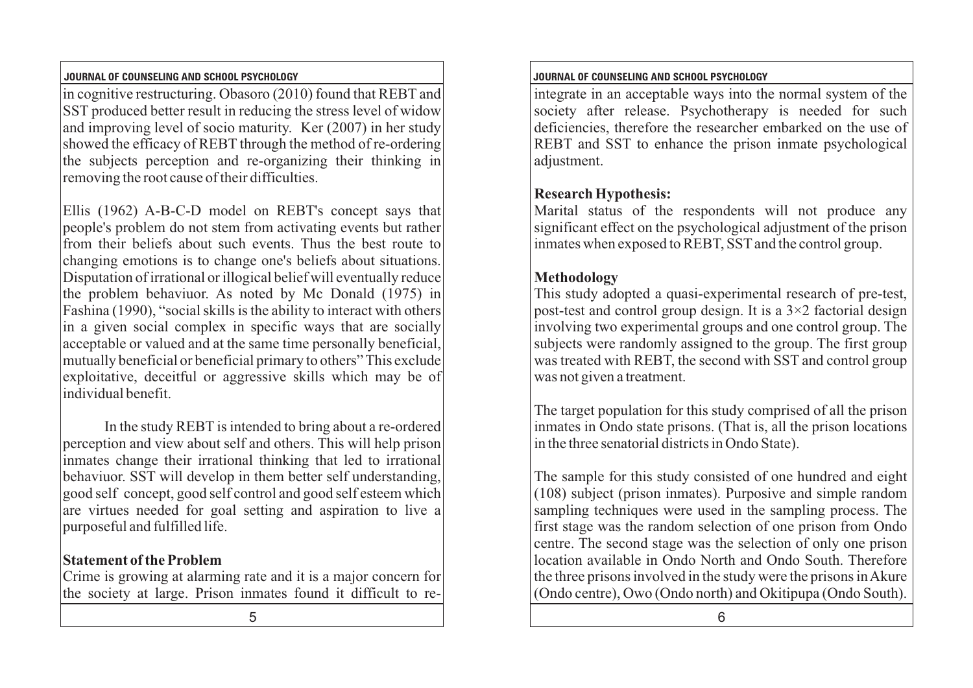### **JOURNAL OF COUNSELING AND SCHOOL PSYCHOLOGY JOURNAL OF COUNSELING AND SCHOOL PSYCHOLOGY**

in cognitive restructuring. Obasoro (2010) found that REBT and SST produced better result in reducing the stress level of widow and improving level of socio maturity. Ker (2007) in her study showed the efficacy of REBT through the method of re-ordering the subjects perception and re-organizing their thinking in removing the root cause of their difficulties.

Ellis (1962) A-B-C-D model on REBT's concept says that people's problem do not stem from activating events but rather from their beliefs about such events. Thus the best route to changing emotions is to change one's beliefs about situations. Disputation of irrational or illogical belief will eventually reduce the problem behaviuor. As noted by Mc Donald (1975) in Fashina (1990), "social skills is the ability to interact with others in a given social complex in specific ways that are socially acceptable or valued and at the same time personally beneficial, mutually beneficial or beneficial primary to others" This exclude exploitative, deceitful or aggressive skills which may be of individual benefit.

In the study REBT is intended to bring about a re-ordered perception and view about self and others. This will help prison inmates change their irrational thinking that led to irrational behaviuor. SST will develop in them better self understanding, good self concept, good self control and good self esteem which are virtues needed for goal setting and aspiration to live a purposeful and fulfilled life.

## **Statement of the Problem**

Crime is growing at alarming rate and it is a major concern for the society at large. Prison inmates found it difficult to re-

integrate in an acceptable ways into the normal system of the society after release. Psychotherapy is needed for such deficiencies, therefore the researcher embarked on the use of REBT and SST to enhance the prison inmate psychological adjustment.

## **Research Hypothesis:**

Marital status of the respondents will not produce any significant effect on the psychological adjustment of the prison inmates when exposed to REBT, SST and the control group.

## **Methodology**

This study adopted a quasi-experimental research of pre-test, post-test and control group design. It is a  $3\times 2$  factorial design involving two experimental groups and one control group. The subjects were randomly assigned to the group. The first group was treated with REBT, the second with SST and control group was not given a treatment.

The target population for this study comprised of all the prison inmates in Ondo state prisons. (That is, all the prison locations in the three senatorial districts in Ondo State).

The sample for this study consisted of one hundred and eight (108) subject (prison inmates). Purposive and simple random sampling techniques were used in the sampling process. The first stage was the random selection of one prison from Ondo centre. The second stage was the selection of only one prison location available in Ondo North and Ondo South. Therefore the three prisons involved in the study were the prisons in Akure (Ondo centre), Owo (Ondo north) and Okitipupa (Ondo South).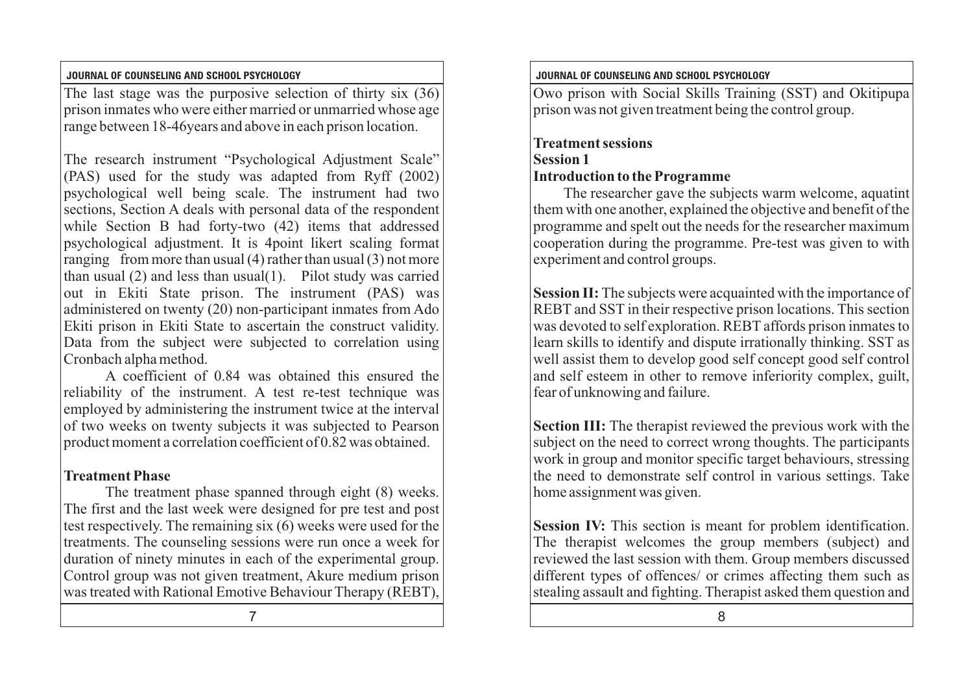The last stage was the purposive selection of thirty six (36) prison inmates who were either married or unmarried whose age range between 18-46years and above in each prison location.

The research instrument "Psychological Adjustment Scale" (PAS) used for the study was adapted from Ryff (2002) psychological well being scale. The instrument had two sections, Section A deals with personal data of the respondent while Section B had forty-two (42) items that addressed psychological adjustment. It is 4point likert scaling format ranging from more than usual  $(4)$  rather than usual  $(3)$  not more than usual (2) and less than usual(1). Pilot study was carried out in Ekiti State prison. The instrument (PAS) was administered on twenty (20) non-participant inmates from Ado Ekiti prison in Ekiti State to ascertain the construct validity. Data from the subject were subjected to correlation using Cronbach alpha method.

A coefficient of 0.84 was obtained this ensured the reliability of the instrument. A test re-test technique was employed by administering the instrument twice at the interval of two weeks on twenty subjects it was subjected to Pearson product moment a correlation coefficient of 0.82 was obtained.

# **Treatment Phase**

The treatment phase spanned through eight (8) weeks. The first and the last week were designed for pre test and post test respectively. The remaining six (6) weeks were used for the treatments. The counseling sessions were run once a week for duration of ninety minutes in each of the experimental group. Control group was not given treatment, Akure medium prison was treated with Rational Emotive Behaviour Therapy (REBT),

### **JOURNAL OF COUNSELING AND SCHOOL PSYCHOLOGY JOURNAL OF COUNSELING AND SCHOOL PSYCHOLOGY**

Owo prison with Social Skills Training (SST) and Okitipupa prison was not given treatment being the control group.

# **Treatment sessions Session 1 Introduction to theProgramme**

The researcher gave the subjects warm welcome, aquatint them with one another, explained the objective and benefit of the programme and spelt out the needs for the researcher maximum cooperation during the programme. Pre-test was given to with experiment and control groups.

**Session II:** The subjects were acquainted with the importance of REBT and SST in their respective prison locations. This section was devoted to self exploration. REBT affords prison inmates to learn skills to identify and dispute irrationally thinking. SST as well assist them to develop good self concept good self control and self esteem in other to remove inferiority complex, guilt, fear of unknowing and failure.

**Section III:** The therapist reviewed the previous work with the subject on the need to correct wrong thoughts. The participants work in group and monitor specific target behaviours, stressing the need to demonstrate self control in various settings. Take home assignment was given.

**Session IV:** This section is meant for problem identification. The therapist welcomes the group members (subject) and reviewed the last session with them. Group members discussed different types of offences/ or crimes affecting them such as stealing assault and fighting. Therapist asked them question and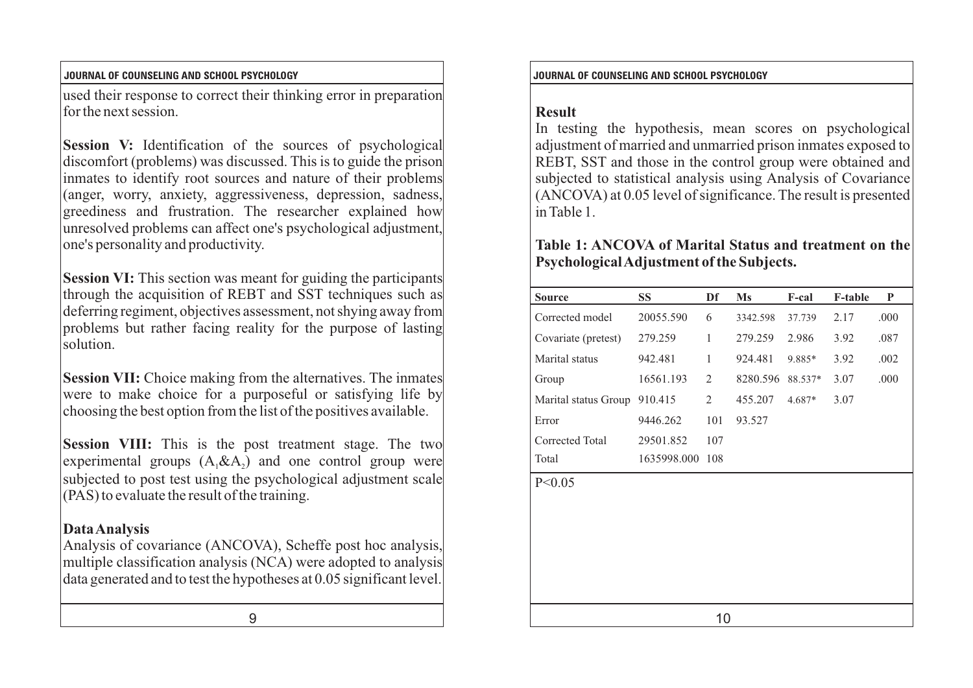### **JOURNAL OF COUNSELING AND SCHOOL PSYCHOLOGY JOURNAL OF COUNSELING AND SCHOOL PSYCHOLOGY**

used their response to correct their thinking error in preparation for the next session.

**Session V:** Identification of the sources of psychological discomfort (problems) was discussed. This is to guide the prison inmates to identify root sources and nature of their problems (anger, worry, anxiety, aggressiveness, depression, sadness, greediness and frustration. The researcher explained how unresolved problems can affect one's psychological adjustment, one's personality and productivity.

**Session VI:** This section was meant for guiding the participants through the acquisition of REBT and SST techniques such as deferring regiment, objectives assessment, not shying away from problems but rather facing reality for the purpose of lasting solution.

**Session VII:** Choice making from the alternatives. The inmates were to make choice for a purposeful or satisfying life by choosing the best option from the list of the positives available.

**Session VIII:** This is the post treatment stage. The two experimental groups  $(A, \& A)$  and one control group were subjected to post test using the psychological adjustment scale (PAS) to evaluate the result of the training.

## **Data Analysis**

Analysis of covariance (ANCOVA), Scheffe post hoc analysis, multiple classification analysis (NCA) were adopted to analysis data generated and to test the hypotheses at 0.05 significant level.

### **Result**

In testing the hypothesis, mean scores on psychological adjustment of married and unmarried prison inmates exposed to REBT, SST and those in the control group were obtained and subjected to statistical analysis using Analysis of Covariance (ANCOVA) at 0.05 level of significance. The result is presented in Table 1.

### **Table 1: ANCOVA of Marital Status and treatment on the Psychological Adjustment of the Subjects.**

|                                                                                                                                                                                                                                                                                                                                   |  | <b>Source</b>                | <b>SS</b>       | Df  | Ms               | F-cal  | <b>F-table</b> | P            |  |
|-----------------------------------------------------------------------------------------------------------------------------------------------------------------------------------------------------------------------------------------------------------------------------------------------------------------------------------|--|------------------------------|-----------------|-----|------------------|--------|----------------|--------------|--|
| BT and SST techniques such as<br>ssessment, not shying away from<br>ality for the purpose of lasting<br>om the alternatives. The inmates<br>urposeful or satisfying life by<br>e list of the positives available.<br>oost treatment stage. The two<br>and one control group were<br>psychological adjustment scale<br>e training. |  | Corrected model              | 20055.590       | 6   | 3342.598         | 37.739 | 2.17           | .000         |  |
|                                                                                                                                                                                                                                                                                                                                   |  | Covariate (pretest)          | 279.259         | 1   | 279.259          | 2.986  | 3.92           | .087         |  |
|                                                                                                                                                                                                                                                                                                                                   |  | Marital status               | 942.481         | -1  | 924.481          | 9.885* | 3.92           | .002<br>.000 |  |
|                                                                                                                                                                                                                                                                                                                                   |  | Group                        | 16561.193       | 2   | 8280.596 88.537* |        | 3.07           |              |  |
|                                                                                                                                                                                                                                                                                                                                   |  | Marital status Group 910.415 |                 | 2   | 455.207          | 4.687* | 3.07           |              |  |
|                                                                                                                                                                                                                                                                                                                                   |  | Error                        | 9446.262        | 101 | 93.527           |        |                |              |  |
|                                                                                                                                                                                                                                                                                                                                   |  | Corrected Total              | 29501.852       | 107 |                  |        |                |              |  |
|                                                                                                                                                                                                                                                                                                                                   |  | Total                        | 1635998.000 108 |     |                  |        |                |              |  |
|                                                                                                                                                                                                                                                                                                                                   |  | P < 0.05                     |                 |     |                  |        |                |              |  |
| IVA), Scheffe post hoc analysis,<br>(NCA) were adopted to analysis<br>potheses at 0.05 significant level.                                                                                                                                                                                                                         |  |                              |                 |     |                  |        |                |              |  |
| 9                                                                                                                                                                                                                                                                                                                                 |  | 10                           |                 |     |                  |        |                |              |  |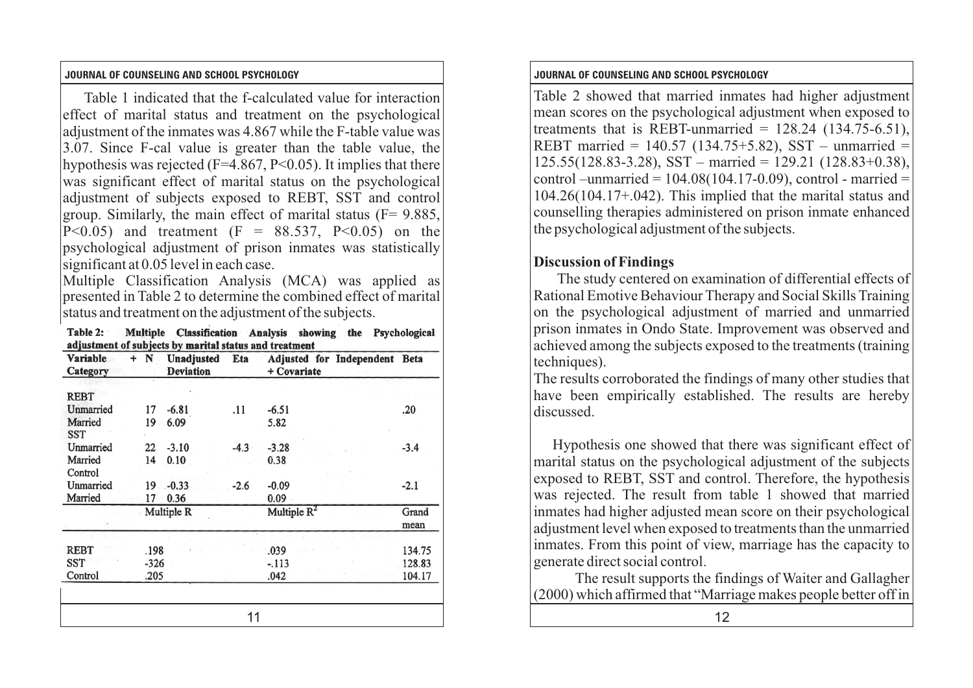Table 1 indicated that the f-calculated value for interaction effect of marital status and treatment on the psychological adjustment of the inmates was 4.867 while the F-table value was 3.07. Since F-cal value is greater than the table value, the hypothesis was rejected (F=4.867, P<0.05). It implies that there was significant effect of marital status on the psychological adjustment of subjects exposed to REBT, SST and control group. Similarly, the main effect of marital status  $(F= 9.885)$ . P<0.05) and treatment  $(F = 88.537, P<0.05)$  on the psychological adjustment of prison inmates was statistically significant at 0.05 level in each case.

Multiple Classification Analysis (MCA) was applied as presented in Table 2 to determine the combined effect of marital status and treatment on the adjustment of the subjects.

| Table 2:                                               |  | Multiple Classification Analysis showing the Psychological |  |  |  |  |  |  |
|--------------------------------------------------------|--|------------------------------------------------------------|--|--|--|--|--|--|
| adjustment of subjects by marital status and treatment |  |                                                            |  |  |  |  |  |  |

|                                     |                        | aujustintin ol subjects by marrial status anu treatnent |        |                                              |                            | $\alpha$ actric vect arriving the subjects exponent                                                                                    |
|-------------------------------------|------------------------|---------------------------------------------------------|--------|----------------------------------------------|----------------------------|----------------------------------------------------------------------------------------------------------------------------------------|
| Variable<br>Category                | $+ N$                  | Unadjusted<br><b>Deviation</b>                          | Eta    | Adjusted for Independent Beta<br>+ Covariate |                            | techniques).                                                                                                                           |
| <b>REBT</b><br>Unmarried<br>Married | 17<br>19               | $-6.81$<br>6.09                                         | .11    | $-6.51$<br>5.82                              | .20                        | The results corroborated the find<br>have been empirically establis<br>discussed.                                                      |
| SST<br>Unmarried<br>Married         | 22<br>14               | $-3.10$<br>0.10                                         | $-4.3$ | $-3.28$<br>0.38                              | $-3.4$                     | Hypothesis one showed that<br>marital status on the psychologi                                                                         |
| Control<br>Unmarried<br>Married     | 19.<br>17              | $-0.33$<br>0.36                                         | $-2.6$ | $-0.09$<br>0.09                              | $-2.1$                     | exposed to REBT, SST and cont<br>was rejected. The result from                                                                         |
|                                     |                        | Multiple R                                              |        | Multiple $R^2$                               | Grand<br>mean              | inmates had higher adjusted mea<br>adjustment level when exposed to                                                                    |
| <b>REBT</b><br>SST<br>Control       | .198<br>$-326$<br>.205 |                                                         |        | .039<br>$-113$<br>.042                       | 134.75<br>128.83<br>104.17 | inmates. From this point of view<br>generate direct social control.<br>The result supports the fin<br>(2000) which affirmed that "Marr |
|                                     |                        |                                                         | 11     |                                              |                            | 12                                                                                                                                     |

### **JOURNAL OF COUNSELING AND SCHOOL PSYCHOLOGY JOURNAL OF COUNSELING AND SCHOOL PSYCHOLOGY**

Table 2 showed that married inmates had higher adjustment mean scores on the psychological adjustment when exposed to treatments that is REBT-unmarried =  $128.24$  (134.75-6.51), REBT married =  $140.57$  (134.75+5.82), SST – unmarried =  $125.55(128.83-3.28)$ , SST – married = 129.21 (128.83+0.38), control –unmarried =  $104.08(104.17-0.09)$ , control - married = 104.26(104.17+.042). This implied that the marital status and counselling therapies administered on prison inmate enhanced the psychological adjustment of the subjects.

## **Discussion of Findings**

The study centered on examination of differential effects of Rational Emotive Behaviour Therapy and Social Skills Training on the psychological adjustment of married and unmarried prison inmates in Ondo State. Improvement was observed and achieved among the subjects exposed to the treatments (training techniques).

The results corroborated the findings of many other studies that have been empirically established. The results are hereby discussed.

Hypothesis one showed that there was significant effect of marital status on the psychological adjustment of the subjects exposed to REBT, SST and control. Therefore, the hypothesis was rejected. The result from table 1 showed that married inmates had higher adjusted mean score on their psychological adjustment level when exposed to treatments than the unmarried inmates. From this point of view, marriage has the capacity to generate direct social control.

The result supports the findings of Waiter and Gallagher (2000) which affirmed that "Marriage makes people better off in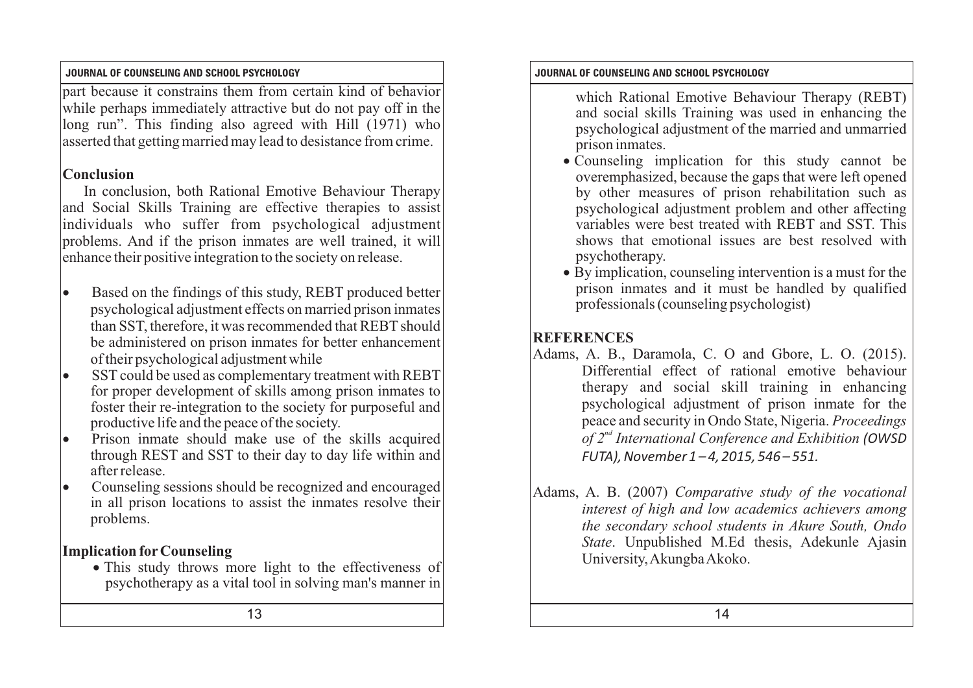part because it constrains them from certain kind of behavior while perhaps immediately attractive but do not pay off in the long run". This finding also agreed with Hill (1971) who asserted that getting married may lead to desistance from crime.

## **Conclusion**

In conclusion, both Rational Emotive Behaviour Therapy and Social Skills Training are effective therapies to assist individuals who suffer from psychological adjustment problems. And if the prison inmates are well trained, it will enhance their positive integration to the society on release.

- Based on the findings of this study, REBT produced better psychological adjustment effects on married prison inmates than SST, therefore, it was recommended that REBT should be administered on prison inmates for better enhancement of their psychological adjustment while
- SST could be used as complementary treatment with REBT for proper development of skills among prison inmates to foster their re-integration to the society for purposeful and productive life and the peace of the society.
- Prison inmate should make use of the skills acquired through REST and SST to their day to day life within and after release.
- Counseling sessions should be recognized and encouraged in all prison locations to assist the inmates resolve their problems.

# **Implication forCounseling**

• This study throws more light to the effectiveness of psychotherapy as a vital tool in solving man's manner in

### **JOURNAL OF COUNSELING AND SCHOOL PSYCHOLOGY JOURNAL OF COUNSELING AND SCHOOL PSYCHOLOGY**

- which Rational Emotive Behaviour Therapy (REBT) and social skills Training was used in enhancing the psychological adjustment of the married and unmarried prison inmates.
- · Counseling implication for this study cannot be overemphasized, because the gaps that were left opened by other measures of prison rehabilitation such as psychological adjustment problem and other affecting variables were best treated with REBT and SST. This shows that emotional issues are best resolved with psychotherapy.
- · By implication, counseling intervention is a must for the prison inmates and it must be handled by qualified professionals (counseling psychologist)

# **REFERENCES**

- Adams, A. B., Daramola, C. O and Gbore, L. O. (2015). Differential effect of rational emotive behaviour therapy and social skill training in enhancing psychological adjustment of prison inmate for the peace and security in Ondo State, Nigeria. *Proceedings nd of 2 International Conference and Exhibition (OWSD FUTA), November 1 – 4, 2015, 546 – 551.*
- Adams, A. B. (2007) *Comparative study of the vocational interest of high and low academics achievers among the secondary school students in Akure South, Ondo State*. Unpublished M.Ed thesis, Adekunle Ajasin University, Akungba Akoko.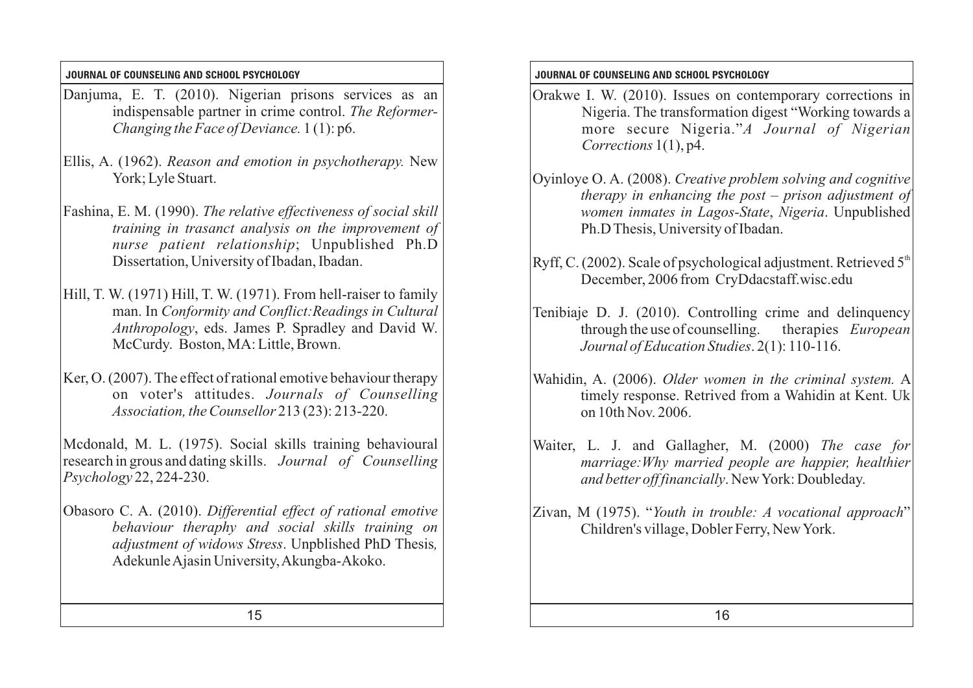- Danjuma, E. T. (2010). Nigerian prisons services as an indispensable partner in crime control. *The Reformer-Changing the Face of Deviance.* 1 (1): p6.
- Ellis, A. (1962). *Reason and emotion in psychotherapy.* New York; Lyle Stuart.
- Fashina, E. M. (1990). *The relative effectiveness of social skill training in trasanct analysis on the improvement of nurse patient relationship*; Unpublished Ph.D Dissertation, University of Ibadan, Ibadan.
- Hill, T. W. (1971) Hill, T. W. (1971). From hell-raiser to family man. In *Conformity and Conflict:Readings in Cultural Anthropology*, eds. James P. Spradley and David W. McCurdy. Boston, MA: Little, Brown.
- Ker, O. (2007). The effect of rational emotive behaviour therapy on voter's attitudes. *Journals of Counselling Association, the Counsellor* 213 (23): 213-220.

Mcdonald, M. L. (1975). Social skills training behavioural research in grous and dating skills. *Journal of Counselling Psychology* 22, 224-230.

Obasoro C. A. (2010). *Differential effect of rational emotive behaviour theraphy and social skills training on adjustment of widows Stress*. Unpblished PhD Thesis*,* Adekunle Ajasin University, Akungba-Akoko.

## **JOURNAL OF COUNSELING AND SCHOOL PSYCHOLOGY JOURNAL OF COUNSELING AND SCHOOL PSYCHOLOGY**

- Orakwe I. W. (2010). Issues on contemporary corrections in Nigeria. The transformation digest "Working towards a more secure Nigeria."*A Journal of Nigerian Corrections* 1(1), p4.
- Oyinloye O. A. (2008). *Creative problem solving and cognitive therapy in enhancing the post – prison adjustment of women inmates in Lagos-State*, *Nigeria*. Unpublished Ph.D Thesis, University of Ibadan.
- Ryff, C. (2002). Scale of psychological adjustment. Retrieved  $5<sup>th</sup>$ December, 2006 from CryDdacstaff.wisc.edu
- Tenibiaje D. J. (2010). Controlling crime and delinquency through the use of counselling. therapies *European Journal of Education Studies*. 2(1): 110-116.
- Wahidin, A. (2006). *Older women in the criminal system.* A timely response. Retrived from a Wahidin at Kent. Uk on 10th Nov. 2006.
- Waiter, L. J. and Gallagher, M. (2000) *The case for marriage:Why married people are happier, healthier and better off financially*. New York: Doubleday.
- Zivan, M (1975). "*Youth in trouble: A vocational approach*" Children's village, Dobler Ferry, New York.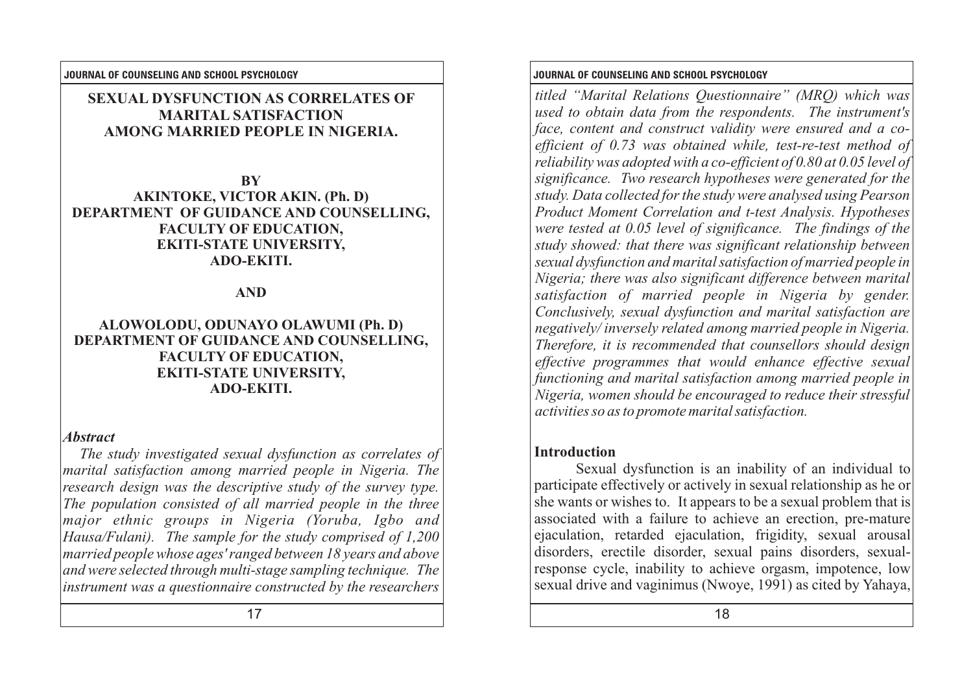## **SEXUAL DYSFUNCTION AS CORRELATES OF MARITAL SATISFACTION AMONG MARRIED PEOPLE IN NIGERIA.**

**BY AKINTOKE, VICTOR AKIN. (Ph. D) DEPARTMENT OF GUIDANCE AND COUNSELLING, FACULTY OF EDUCATION, EKITI-STATE UNIVERSITY, ADO-EKITI.**

## **AND**

### **ALOWOLODU, ODUNAYO OLAWUMI (Ph. D) DEPARTMENT OF GUIDANCE AND COUNSELLING, FACULTY OF EDUCATION, EKITI-STATE UNIVERSITY, ADO-EKITI.**

### *Abstract*

*The study investigated sexual dysfunction as correlates of marital satisfaction among married people in Nigeria. The research design was the descriptive study of the survey type. The population consisted of all married people in the three major ethnic groups in Nigeria (Yoruba, Igbo and Hausa/Fulani). The sample for the study comprised of 1,200 married people whose ages' ranged between 18 years and above and were selected through multi-stage sampling technique. The instrument was a questionnaire constructed by the researchers* 

### **JOURNAL OF COUNSELING AND SCHOOL PSYCHOLOGY JOURNAL OF COUNSELING AND SCHOOL PSYCHOLOGY**

*titled "Marital Relations Questionnaire" (MRQ) which was used to obtain data from the respondents. The instrument's face, content and construct validity were ensured and a coefficient of 0.73 was obtained while, test-re-test method of reliability was adopted with a co-efficient of 0.80 at 0.05 level of significance. Two research hypotheses were generated for the study. Data collected for the study were analysed using Pearson Product Moment Correlation and t-test Analysis. Hypotheses were tested at 0.05 level of significance. The findings of the study showed: that there was significant relationship between sexual dysfunction and marital satisfaction of married people in Nigeria; there was also significant difference between marital satisfaction of married people in Nigeria by gender. Conclusively, sexual dysfunction and marital satisfaction are negatively/ inversely related among married people in Nigeria. Therefore, it is recommended that counsellors should design effective programmes that would enhance effective sexual functioning and marital satisfaction among married people in Nigeria, women should be encouraged to reduce their stressful activities so as to promote marital satisfaction.*

## **Introduction**

Sexual dysfunction is an inability of an individual to participate effectively or actively in sexual relationship as he or she wants or wishes to. It appears to be a sexual problem that is associated with a failure to achieve an erection, pre-mature ejaculation, retarded ejaculation, frigidity, sexual arousal disorders, erectile disorder, sexual pains disorders, sexualresponse cycle, inability to achieve orgasm, impotence, low sexual drive and vaginimus (Nwoye, 1991) as cited by Yahaya,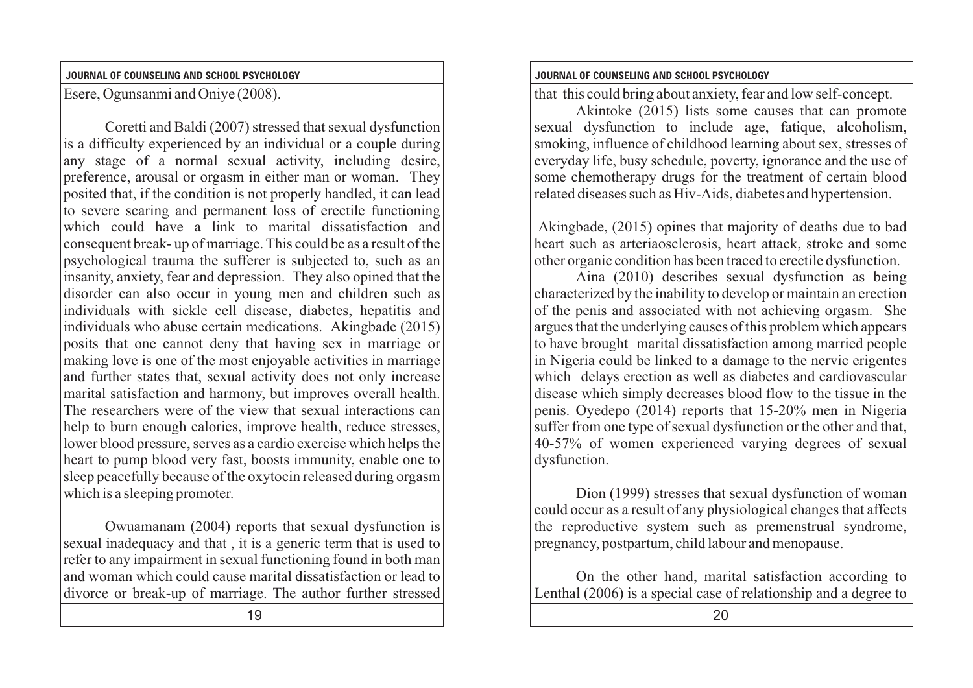Esere, Ogunsanmi and Oniye (2008).

Coretti and Baldi (2007) stressed that sexual dysfunction is a difficulty experienced by an individual or a couple during any stage of a normal sexual activity, including desire, preference, arousal or orgasm in either man or woman. They posited that, if the condition is not properly handled, it can lead to severe scaring and permanent loss of erectile functioning which could have a link to marital dissatisfaction and consequent break- up of marriage. This could be as a result of the psychological trauma the sufferer is subjected to, such as an insanity, anxiety, fear and depression. They also opined that the disorder can also occur in young men and children such as individuals with sickle cell disease, diabetes, hepatitis and individuals who abuse certain medications. Akingbade (2015) posits that one cannot deny that having sex in marriage or making love is one of the most enjoyable activities in marriage and further states that, sexual activity does not only increase marital satisfaction and harmony, but improves overall health. The researchers were of the view that sexual interactions can help to burn enough calories, improve health, reduce stresses, lower blood pressure, serves as a cardio exercise which helps the heart to pump blood very fast, boosts immunity, enable one to sleep peacefully because of the oxytocin released during orgasm which is a sleeping promoter.

Owuamanam (2004) reports that sexual dysfunction is sexual inadequacy and that , it is a generic term that is used to refer to any impairment in sexual functioning found in both man and woman which could cause marital dissatisfaction or lead to divorce or break-up of marriage. The author further stressed

### **JOURNAL OF COUNSELING AND SCHOOL PSYCHOLOGY JOURNAL OF COUNSELING AND SCHOOL PSYCHOLOGY**

that this could bring about anxiety, fear and low self-concept.

Akintoke (2015) lists some causes that can promote sexual dysfunction to include age, fatique, alcoholism, smoking, influence of childhood learning about sex, stresses of everyday life, busy schedule, poverty, ignorance and the use of some chemotherapy drugs for the treatment of certain blood related diseases such as Hiv-Aids, diabetes and hypertension.

 Akingbade, (2015) opines that majority of deaths due to bad heart such as arteriaosclerosis, heart attack, stroke and some other organic condition has been traced to erectile dysfunction.

Aina (2010) describes sexual dysfunction as being characterized by the inability to develop or maintain an erection of the penis and associated with not achieving orgasm. She argues that the underlying causes of this problem which appears to have brought marital dissatisfaction among married people in Nigeria could be linked to a damage to the nervic erigentes which delays erection as well as diabetes and cardiovascular disease which simply decreases blood flow to the tissue in the penis. Oyedepo (2014) reports that 15-20% men in Nigeria suffer from one type of sexual dysfunction or the other and that, 40-57% of women experienced varying degrees of sexual dysfunction.

Dion (1999) stresses that sexual dysfunction of woman could occur as a result of any physiological changes that affects the reproductive system such as premenstrual syndrome, pregnancy, postpartum, child labour and menopause.

On the other hand, marital satisfaction according to Lenthal (2006) is a special case of relationship and a degree to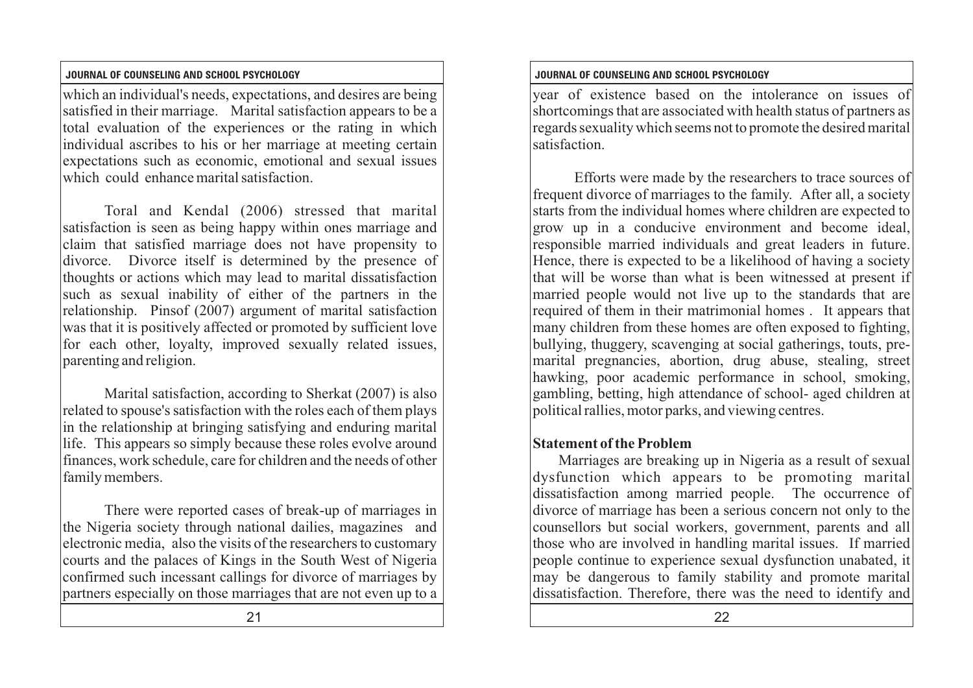which an individual's needs, expectations, and desires are being satisfied in their marriage. Marital satisfaction appears to be a total evaluation of the experiences or the rating in which individual ascribes to his or her marriage at meeting certain expectations such as economic, emotional and sexual issues which could enhance marital satisfaction.

Toral and Kendal (2006) stressed that marital satisfaction is seen as being happy within ones marriage and claim that satisfied marriage does not have propensity to divorce. Divorce itself is determined by the presence of thoughts or actions which may lead to marital dissatisfaction such as sexual inability of either of the partners in the relationship. Pinsof (2007) argument of marital satisfaction was that it is positively affected or promoted by sufficient love for each other, loyalty, improved sexually related issues, parenting and religion.

Marital satisfaction, according to Sherkat (2007) is also related to spouse's satisfaction with the roles each of them plays in the relationship at bringing satisfying and enduring marital life. This appears so simply because these roles evolve around finances, work schedule, care for children and the needs of other family members.

There were reported cases of break-up of marriages in the Nigeria society through national dailies, magazines and electronic media, also the visits of the researchers to customary courts and the palaces of Kings in the South West of Nigeria confirmed such incessant callings for divorce of marriages by partners especially on those marriages that are not even up to a

21 22

## **JOURNAL OF COUNSELING AND SCHOOL PSYCHOLOGY JOURNAL OF COUNSELING AND SCHOOL PSYCHOLOGY**

year of existence based on the intolerance on issues of shortcomings that are associated with health status of partners as regards sexuality which seems not to promote the desired marital satisfaction.

Efforts were made by the researchers to trace sources of frequent divorce of marriages to the family. After all, a society starts from the individual homes where children are expected to grow up in a conducive environment and become ideal, responsible married individuals and great leaders in future. Hence, there is expected to be a likelihood of having a society that will be worse than what is been witnessed at present if married people would not live up to the standards that are required of them in their matrimonial homes . It appears that many children from these homes are often exposed to fighting, bullying, thuggery, scavenging at social gatherings, touts, premarital pregnancies, abortion, drug abuse, stealing, street hawking, poor academic performance in school, smoking, gambling, betting, high attendance of school- aged children at political rallies, motor parks, and viewing centres.

# **Statement of the Problem**

Marriages are breaking up in Nigeria as a result of sexual dysfunction which appears to be promoting marital dissatisfaction among married people. The occurrence of divorce of marriage has been a serious concern not only to the counsellors but social workers, government, parents and all those who are involved in handling marital issues. If married people continue to experience sexual dysfunction unabated, it may be dangerous to family stability and promote marital dissatisfaction. Therefore, there was the need to identify and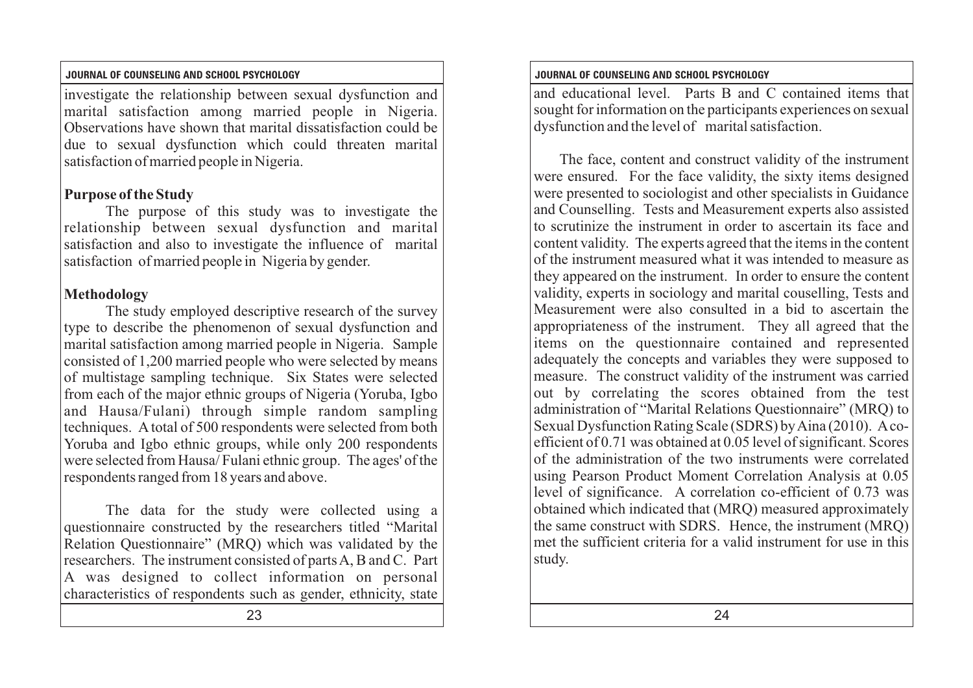investigate the relationship between sexual dysfunction and marital satisfaction among married people in Nigeria. Observations have shown that marital dissatisfaction could be due to sexual dysfunction which could threaten marital satisfaction of married people in Nigeria.

# **Purpose of the Study**

The purpose of this study was to investigate the relationship between sexual dysfunction and marital satisfaction and also to investigate the influence of marital satisfaction of married people in Nigeria by gender.

# **Methodology**

The study employed descriptive research of the survey type to describe the phenomenon of sexual dysfunction and marital satisfaction among married people in Nigeria. Sample consisted of 1,200 married people who were selected by means of multistage sampling technique. Six States were selected from each of the major ethnic groups of Nigeria (Yoruba, Igbo and Hausa/Fulani) through simple random sampling techniques. Atotal of 500 respondents were selected from both Yoruba and Igbo ethnic groups, while only 200 respondents were selected from Hausa/ Fulani ethnic group. The ages' of the respondents ranged from 18 years and above.

The data for the study were collected using a questionnaire constructed by the researchers titled "Marital Relation Questionnaire" (MRQ) which was validated by the researchers. The instrument consisted of parts A, B and C. Part A was designed to collect information on personal characteristics of respondents such as gender, ethnicity, state

### **JOURNAL OF COUNSELING AND SCHOOL PSYCHOLOGY JOURNAL OF COUNSELING AND SCHOOL PSYCHOLOGY**

and educational level. Parts B and C contained items that sought for information on the participants experiences on sexual dysfunction and the level of marital satisfaction.

The face, content and construct validity of the instrument were ensured. For the face validity, the sixty items designed were presented to sociologist and other specialists in Guidance and Counselling. Tests and Measurement experts also assisted to scrutinize the instrument in order to ascertain its face and content validity. The experts agreed that the items in the content of the instrument measured what it was intended to measure as they appeared on the instrument. In order to ensure the content validity, experts in sociology and marital couselling, Tests and Measurement were also consulted in a bid to ascertain the appropriateness of the instrument. They all agreed that the items on the questionnaire contained and represented adequately the concepts and variables they were supposed to measure. The construct validity of the instrument was carried out by correlating the scores obtained from the test administration of "Marital Relations Questionnaire" (MRQ) to Sexual Dysfunction Rating Scale (SDRS) by Aina (2010). Acoefficient of 0.71 was obtained at 0.05 level of significant. Scores of the administration of the two instruments were correlated using Pearson Product Moment Correlation Analysis at 0.05 level of significance. A correlation co-efficient of 0.73 was obtained which indicated that (MRQ) measured approximately the same construct with SDRS. Hence, the instrument (MRQ) met the sufficient criteria for a valid instrument for use in this study.